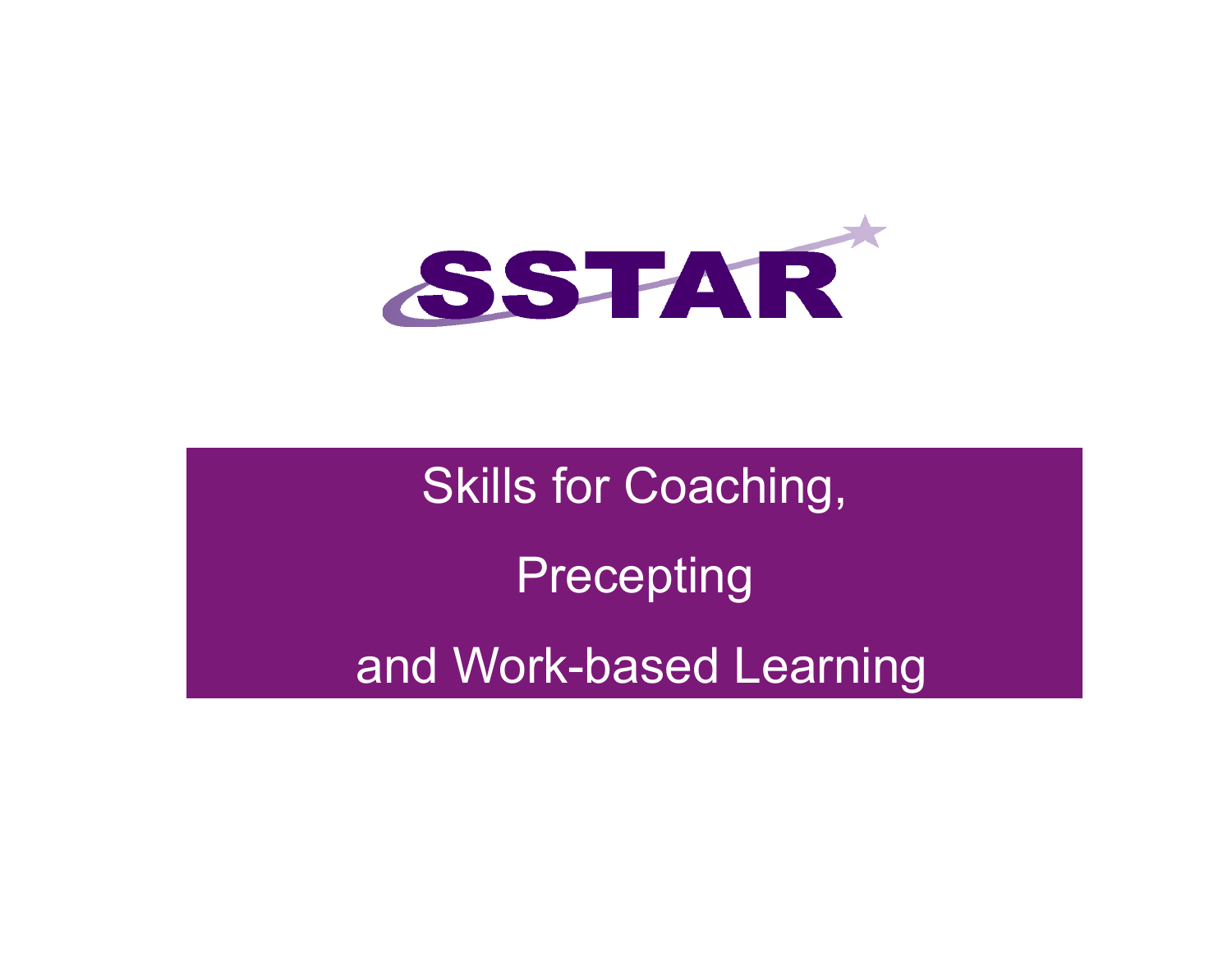

Skills for Coaching, **Precepting** and Work-based Learning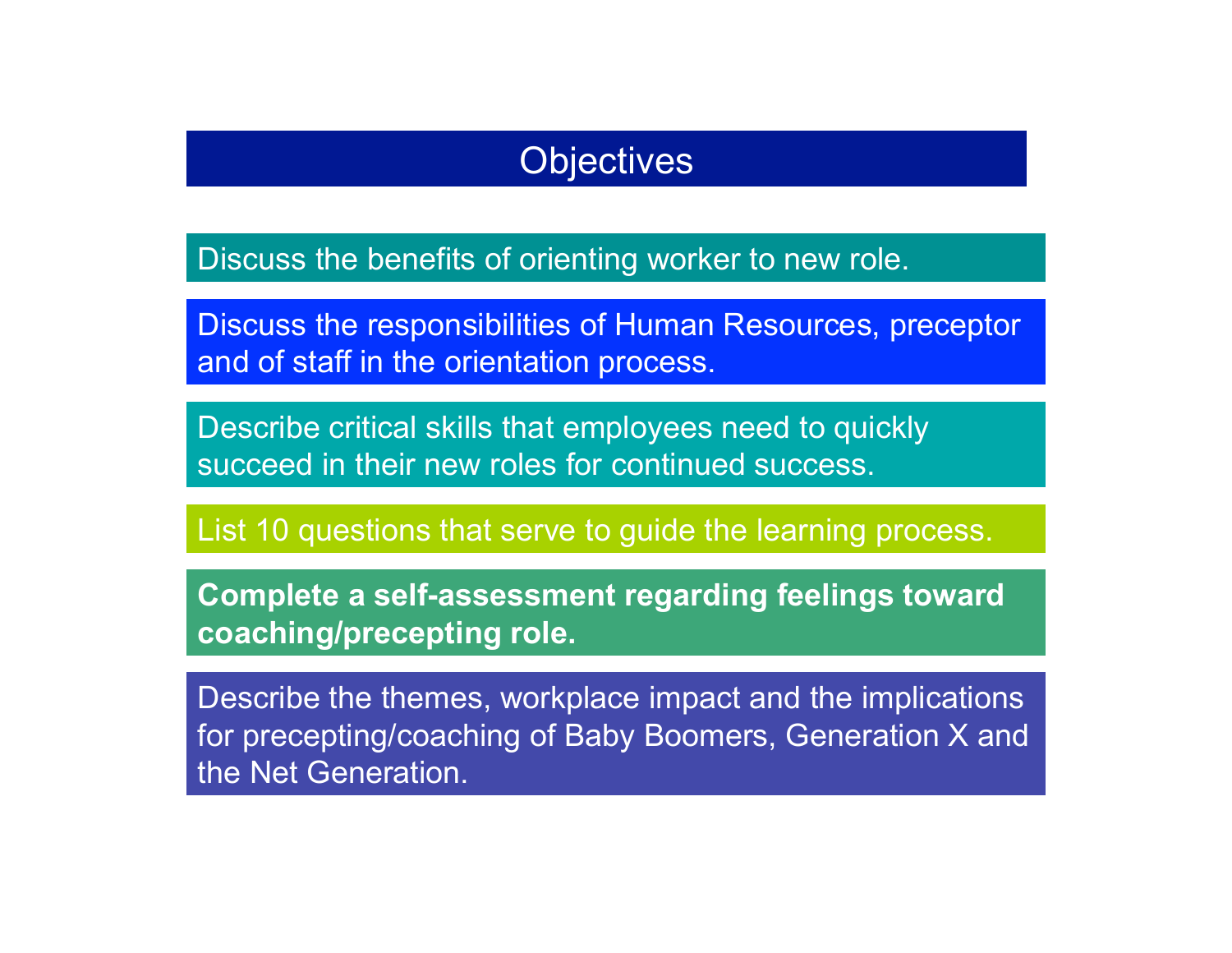#### **Objectives**

Discuss the benefits of orienting worker to new role.

Discuss the responsibilities of Human Resources, preceptor and of staff in the orientation process.

Describe critical skills that employees need to quickly succeed in their new roles for continued success.

List 10 questions that serve to guide the learning process.

**Complete a self-assessment regarding feelings toward coaching/precepting role.** 

Describe the themes, workplace impact and the implications for precepting/coaching of Baby Boomers, Generation X and the Net Generation.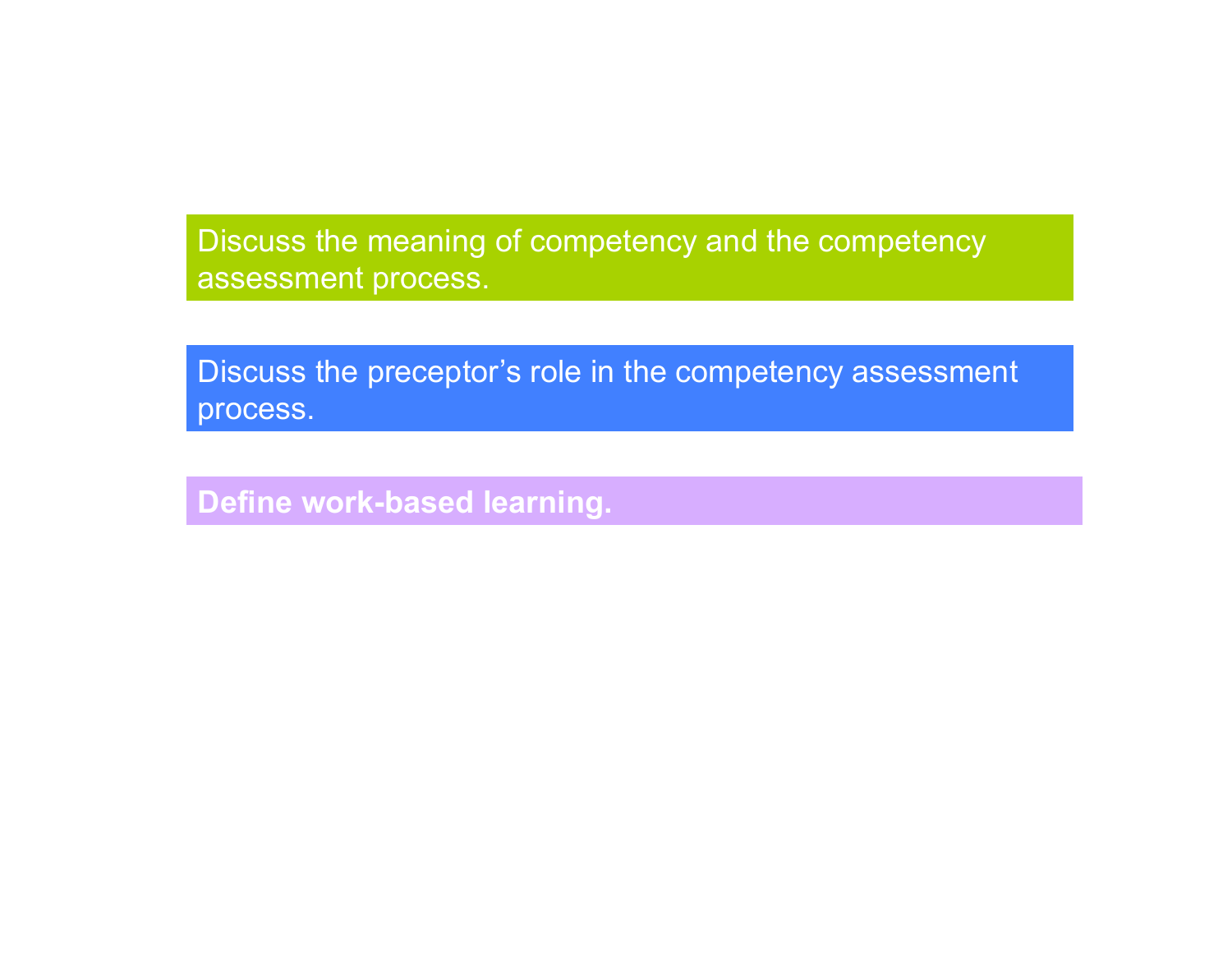Discuss the meaning of competency and the competency assessment process.

Discuss the preceptor's role in the competency assessment process.

**Define work-based learning.**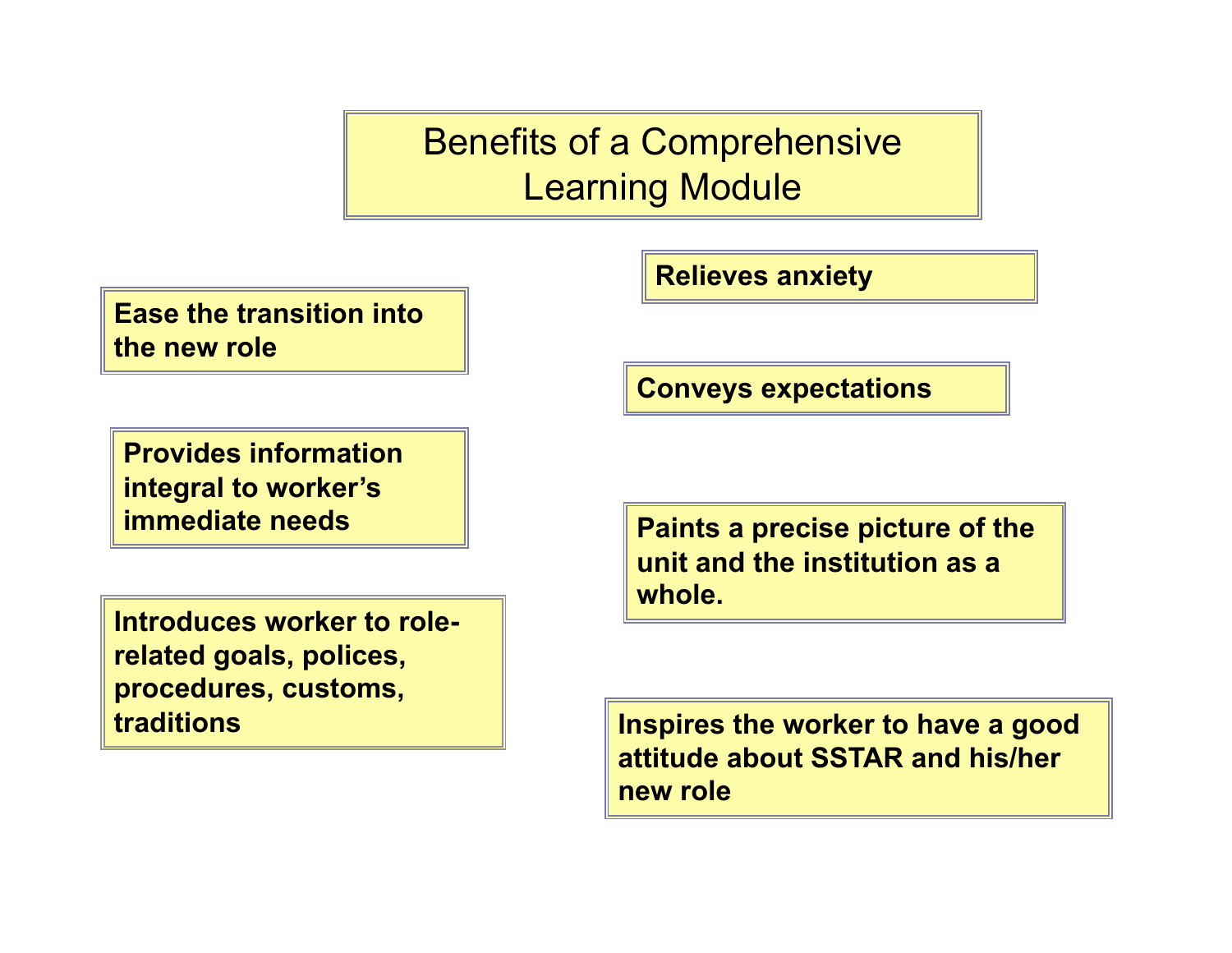Benefits of a Comprehensive Learning Module

**Ease the transition into the new role** 

**Provides information integral to worker's immediate needs** 

**Introduces worker to rolerelated goals, polices, procedures, customs, traditions** 

**Relieves anxiety** 

**Conveys expectations** 

**Paints a precise picture of the unit and the institution as a whole.** 

**Inspires the worker to have a good attitude about SSTAR and his/her new role**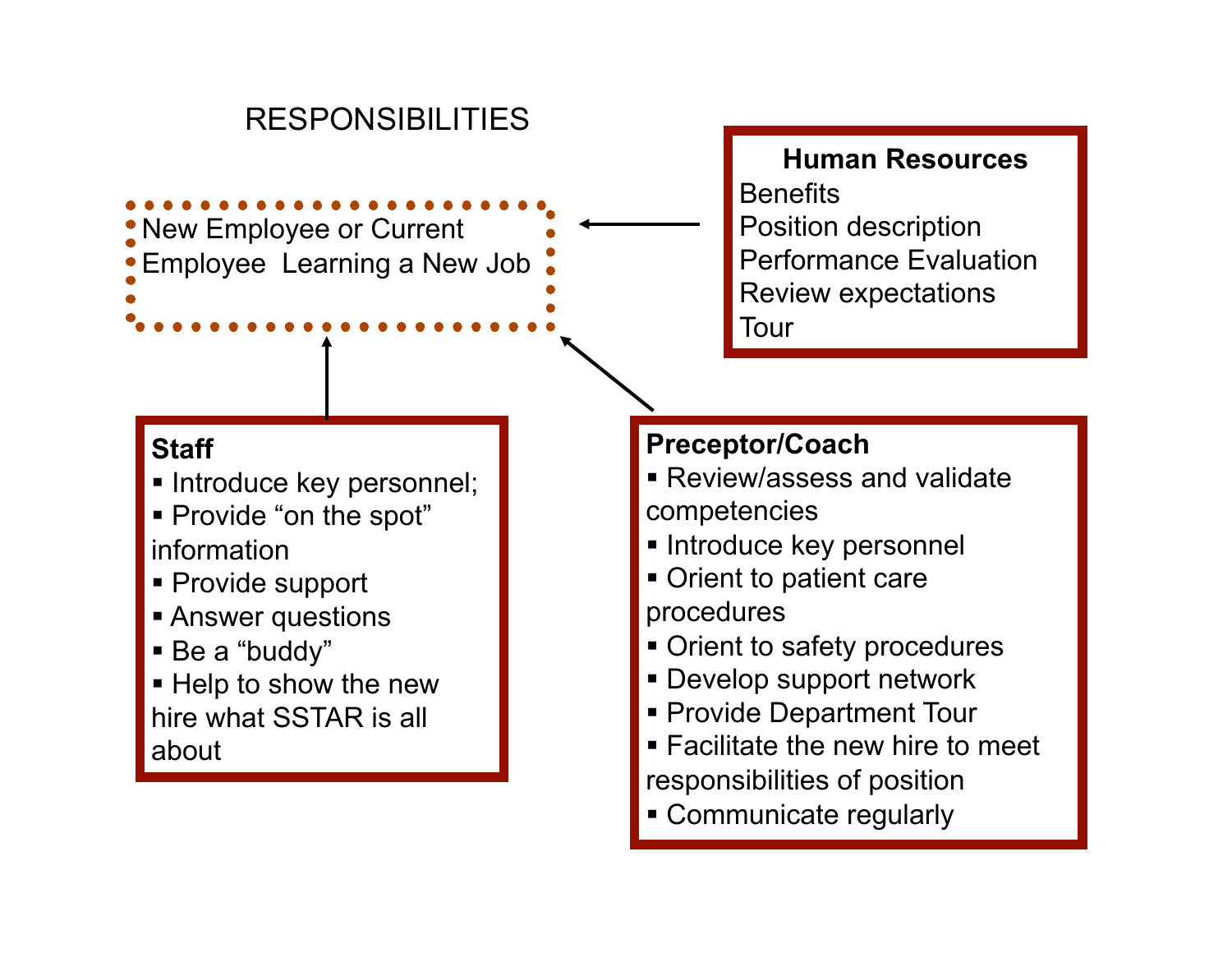#### RESPONSIBILITIES

New Employee or Current Employee Learning a New Job

#### **Staff**

- **Introduce key personnel;**
- Provide "on the spot" information
- Provide support
- **Answer questions**
- Be a "buddy"
- **Help to show the new** hire what SSTAR is all about

**Human Resources Benefits** Position description Performance Evaluation Review expectations Tour

#### **Preceptor/Coach**

- Review/assess and validate competencies
- **Introduce key personnel**
- Orient to patient care procedures
- Orient to safety procedures
- Develop support network
- **Provide Department Tour**
- **Facilitate the new hire to meet** responsibilities of position
- Communicate regularly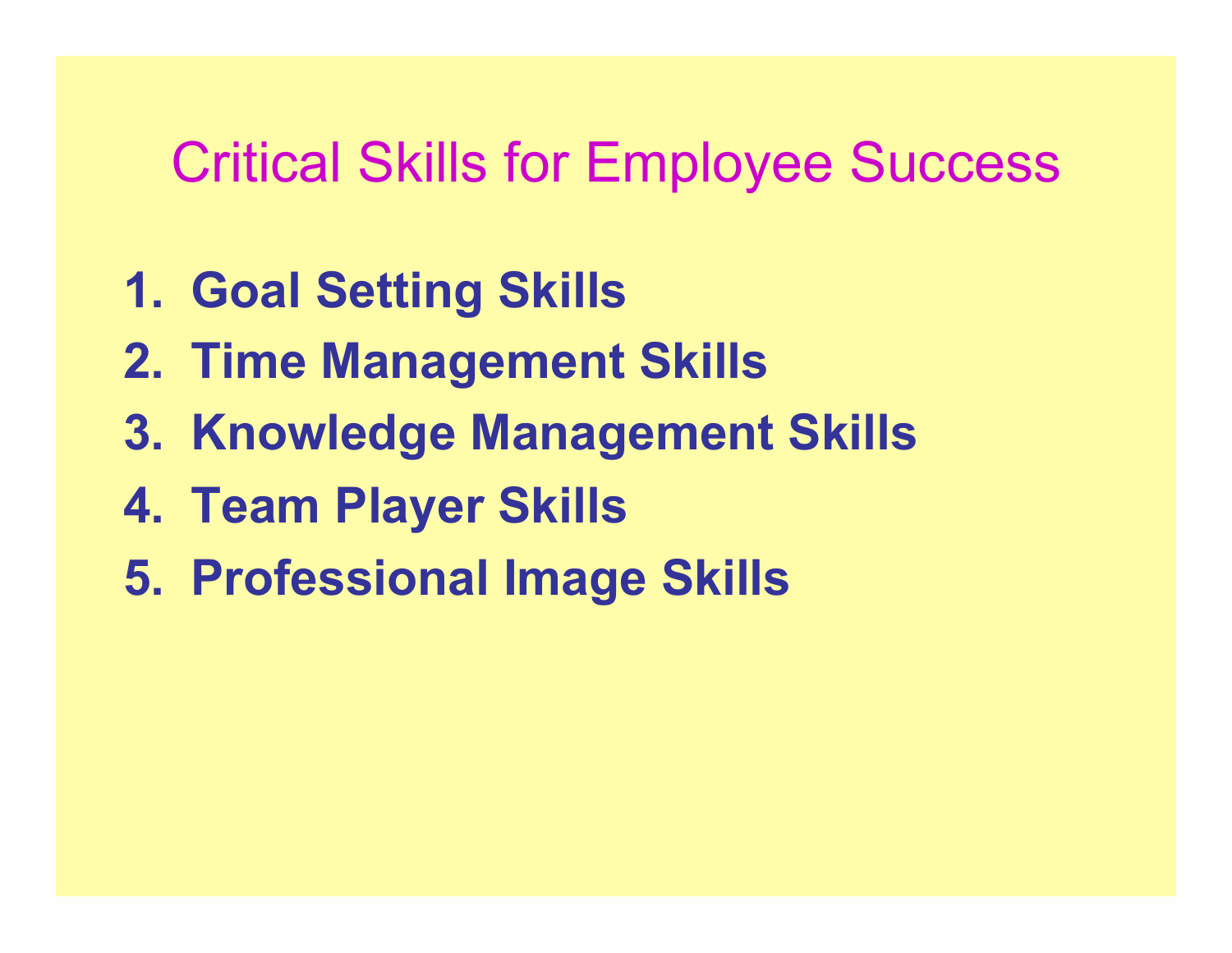# Critical Skills for Employee Success

- **1. Goal Setting Skills**
- **2. Time Management Skills**
- **3. Knowledge Management Skills**
- **4. Team Player Skills**
- **5. Professional Image Skills**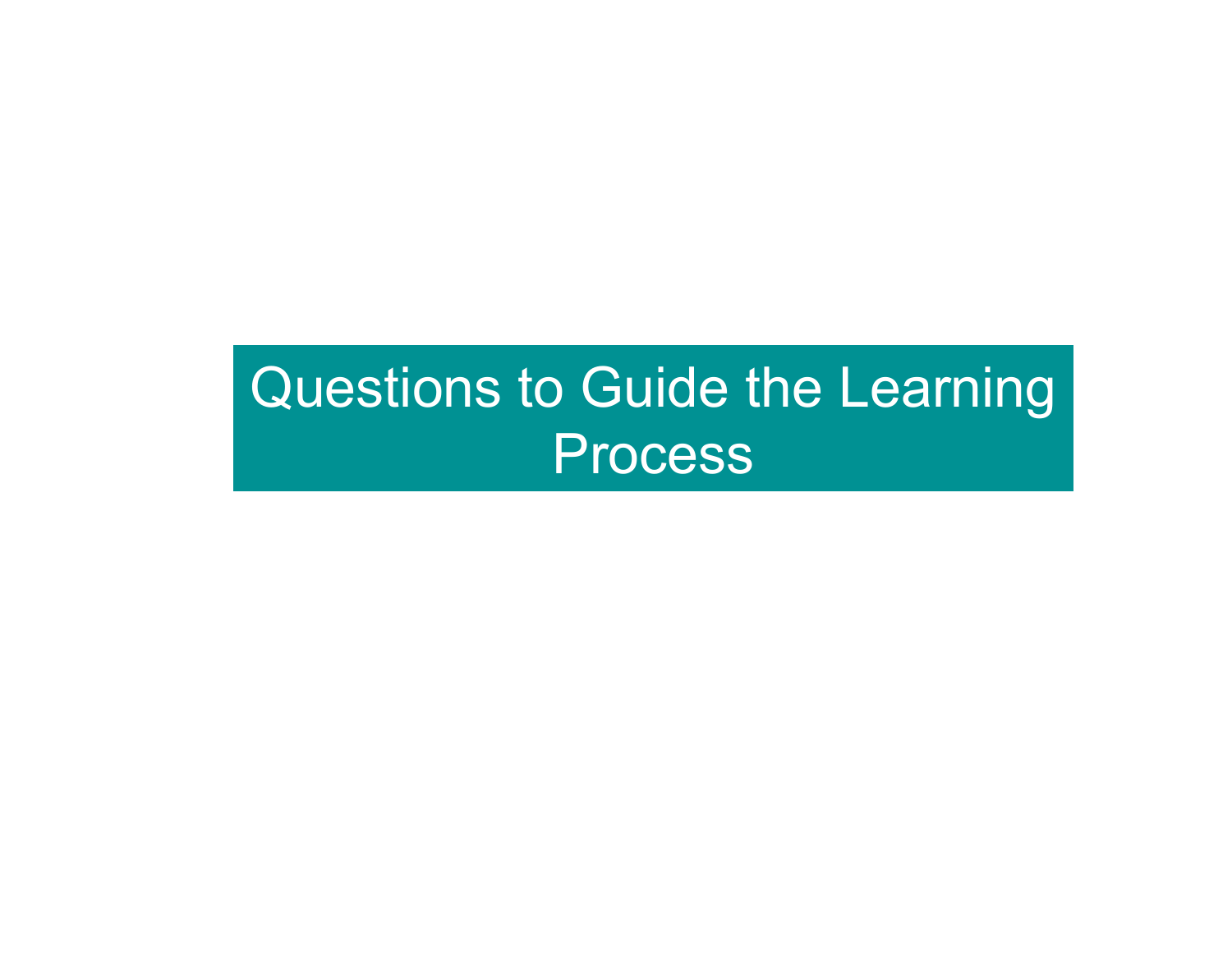# Questions to Guide the Learning **Process**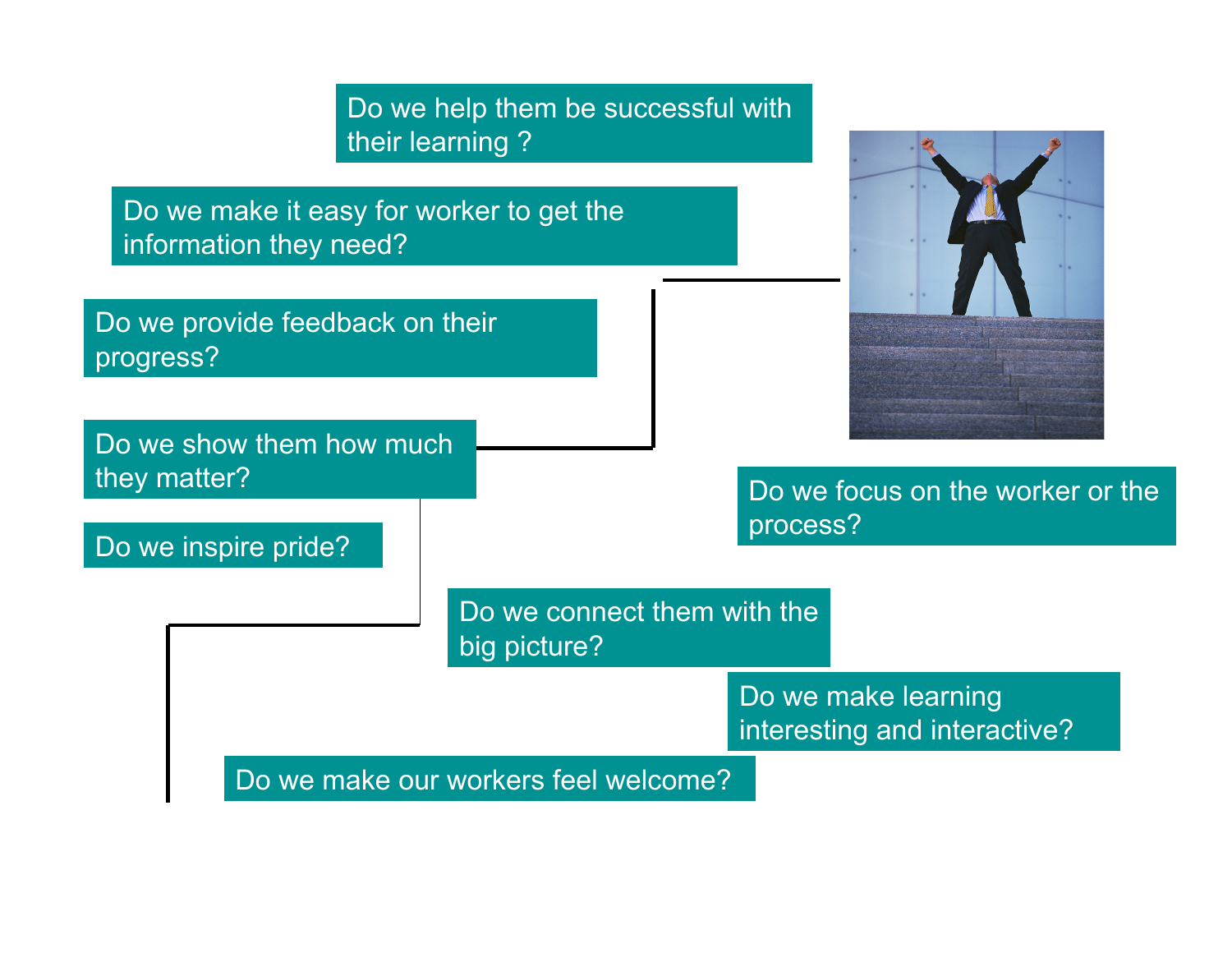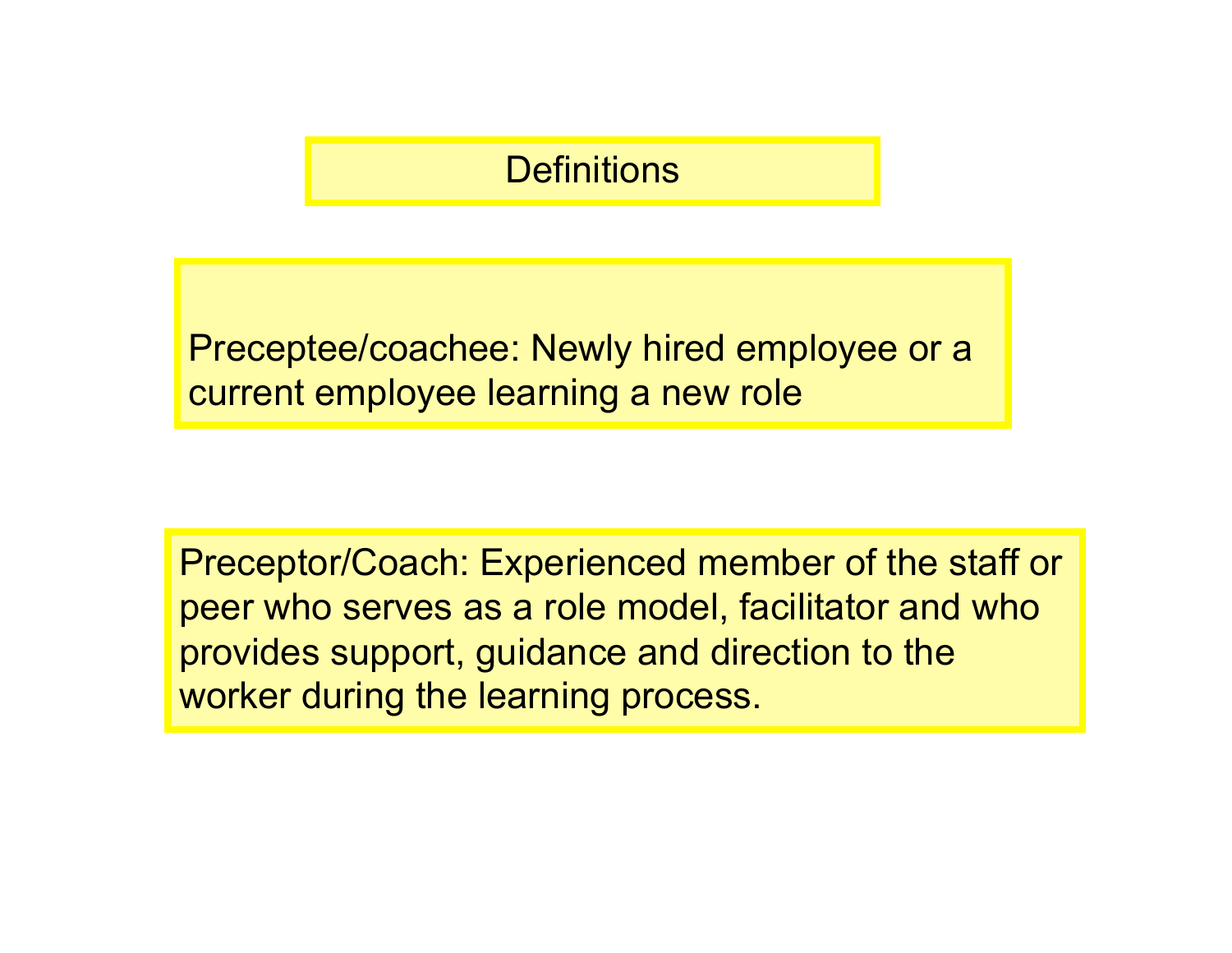### **Definitions**

Preceptee/coachee: Newly hired employee or a current employee learning a new role

Preceptor/Coach: Experienced member of the staff or peer who serves as a role model, facilitator and who provides support, guidance and direction to the worker during the learning process.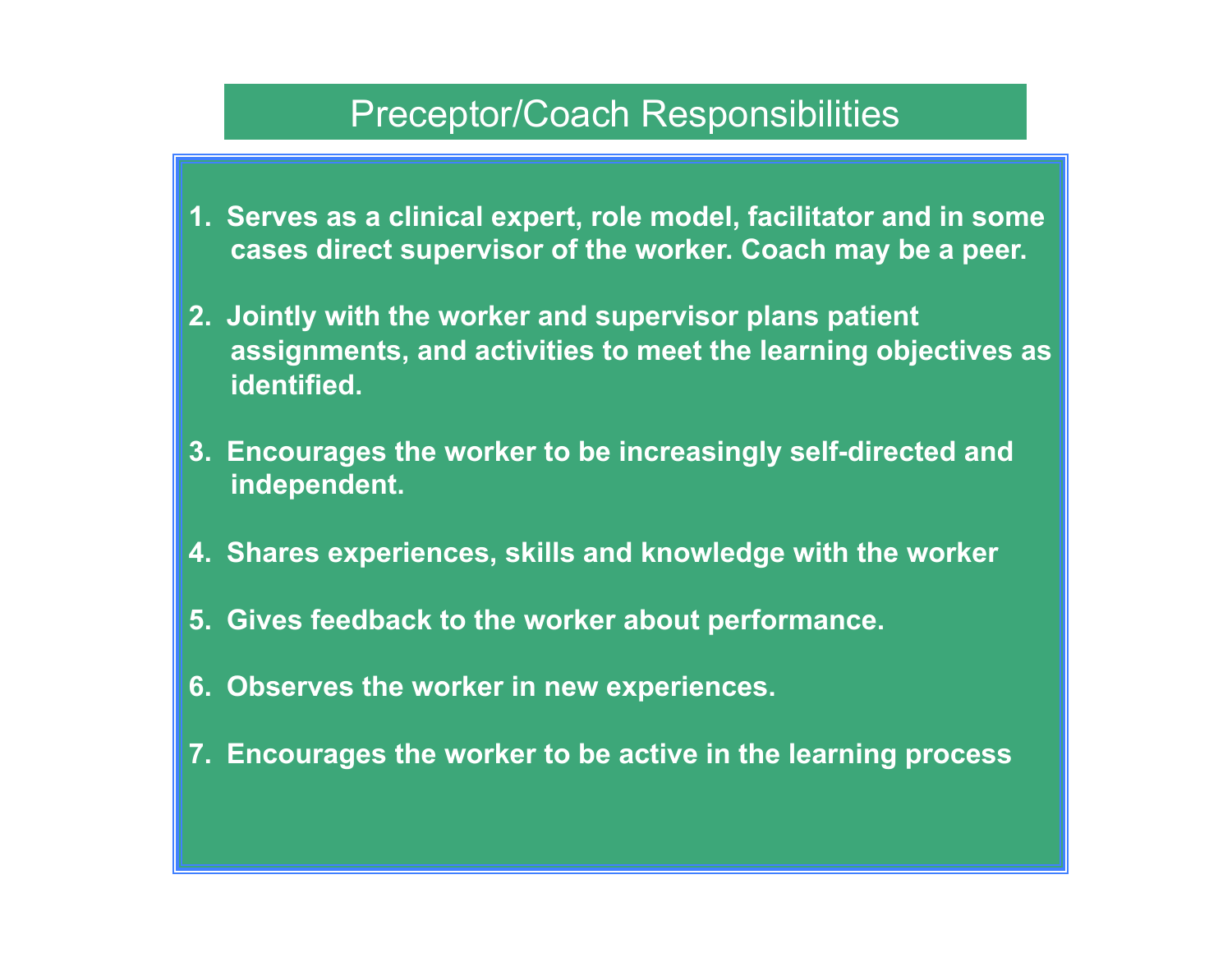#### Preceptor/Coach Responsibilities

- **1. Serves as a clinical expert, role model, facilitator and in some cases direct supervisor of the worker. Coach may be a peer.**
- **2. Jointly with the worker and supervisor plans patient assignments, and activities to meet the learning objectives as identified.**
- **3. Encourages the worker to be increasingly self-directed and independent.**
- **4. Shares experiences, skills and knowledge with the worker**
- **5. Gives feedback to the worker about performance.**
- **6. Observes the worker in new experiences.**
- **7. Encourages the worker to be active in the learning process**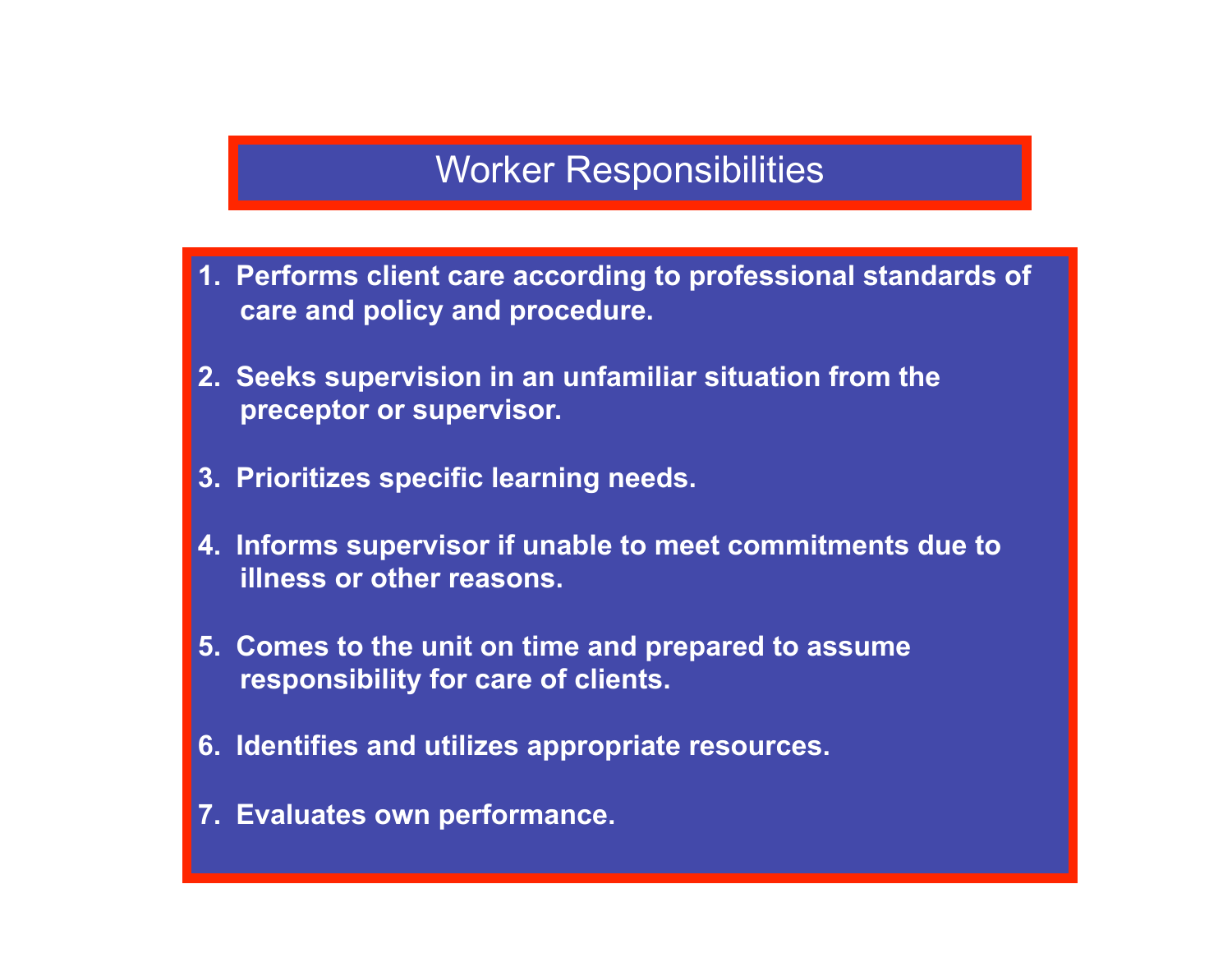### Worker Responsibilities

- **1. Performs client care according to professional standards of care and policy and procedure.**
- **2. Seeks supervision in an unfamiliar situation from the preceptor or supervisor.**
- **3. Prioritizes specific learning needs.**
- **4. Informs supervisor if unable to meet commitments due to illness or other reasons.**
- **5. Comes to the unit on time and prepared to assume responsibility for care of clients.**
- **6. Identifies and utilizes appropriate resources.**
- **7. Evaluates own performance.**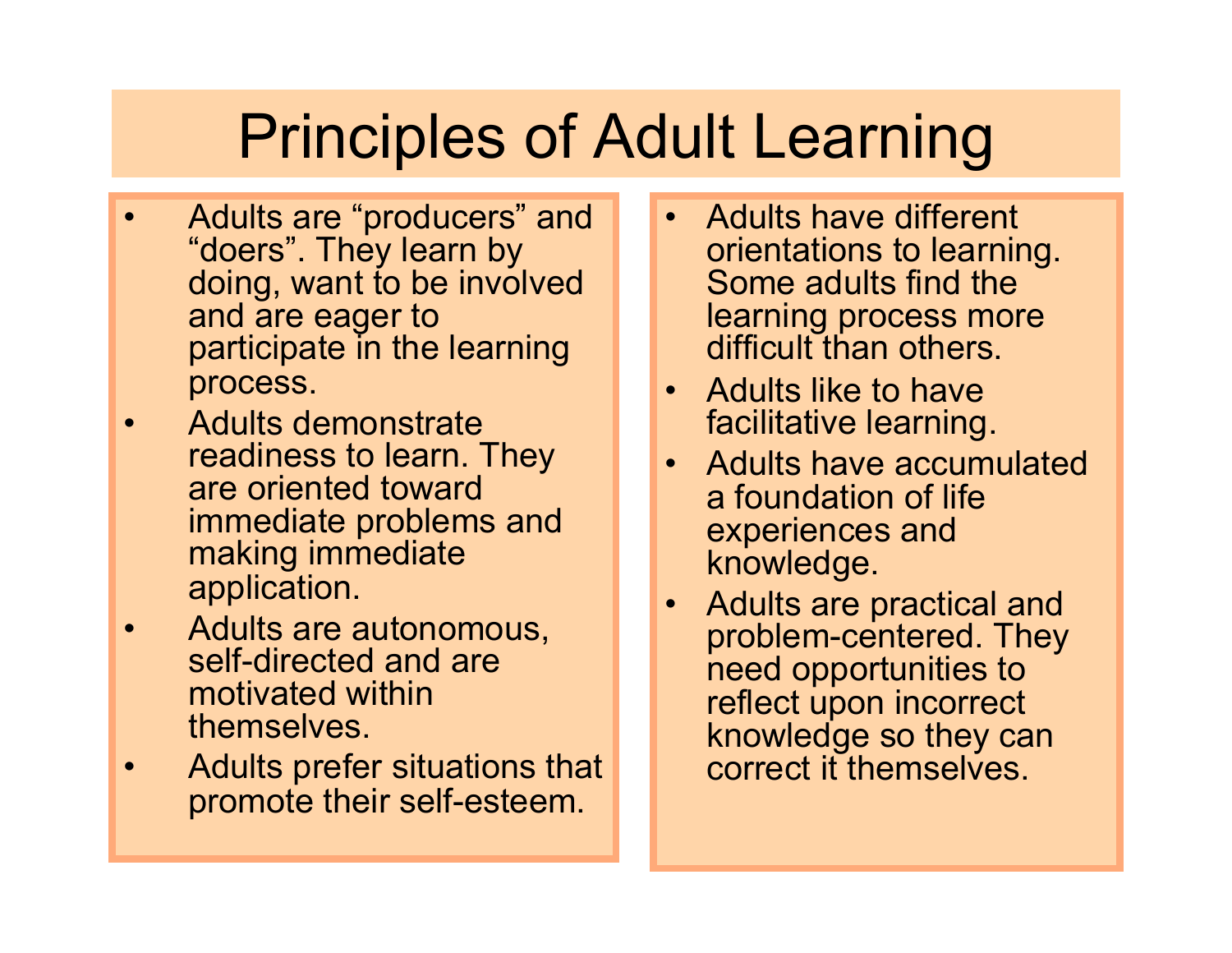# Principles of Adult Learning

- Adults are "producers" and "doers". They learn by doing, want to be involved and are eager to participate in the learning process.
- Adults demonstrate readiness to learn. They are oriented toward immediate problems and making immediate application.
- Adults are autonomous, self-directed and are motivated within themselves.
- Adults prefer situations that promote their self-esteem.
- Adults have different orientations to learning. Some adults find the learning process more difficult than others.
- Adults like to have facilitative learning.
- Adults have accumulated a foundation of life experiences and knowledge.
- Adults are practical and problem-centered. They need opportunities to reflect upon incorrect knowledge so they can correct it themselves.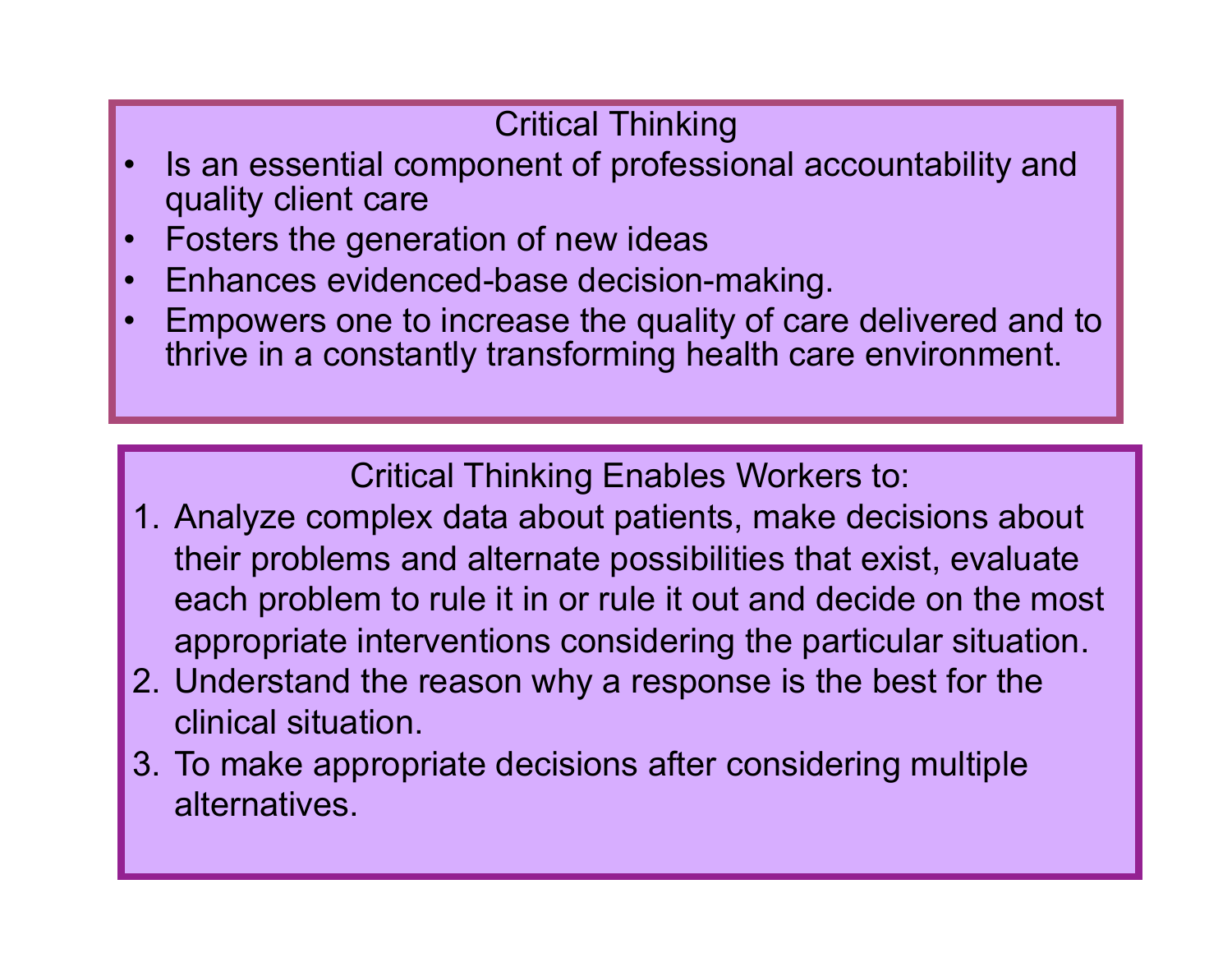### Critical Thinking

- Is an essential component of professional accountability and quality client care
- Fosters the generation of new ideas
- Enhances evidenced-base decision-making.
- Empowers one to increase the quality of care delivered and to thrive in a constantly transforming health care environment.

Critical Thinking Enables Workers to:

- 1. Analyze complex data about patients, make decisions about their problems and alternate possibilities that exist, evaluate each problem to rule it in or rule it out and decide on the most appropriate interventions considering the particular situation.
- 2. Understand the reason why a response is the best for the clinical situation.
- 3. To make appropriate decisions after considering multiple alternatives.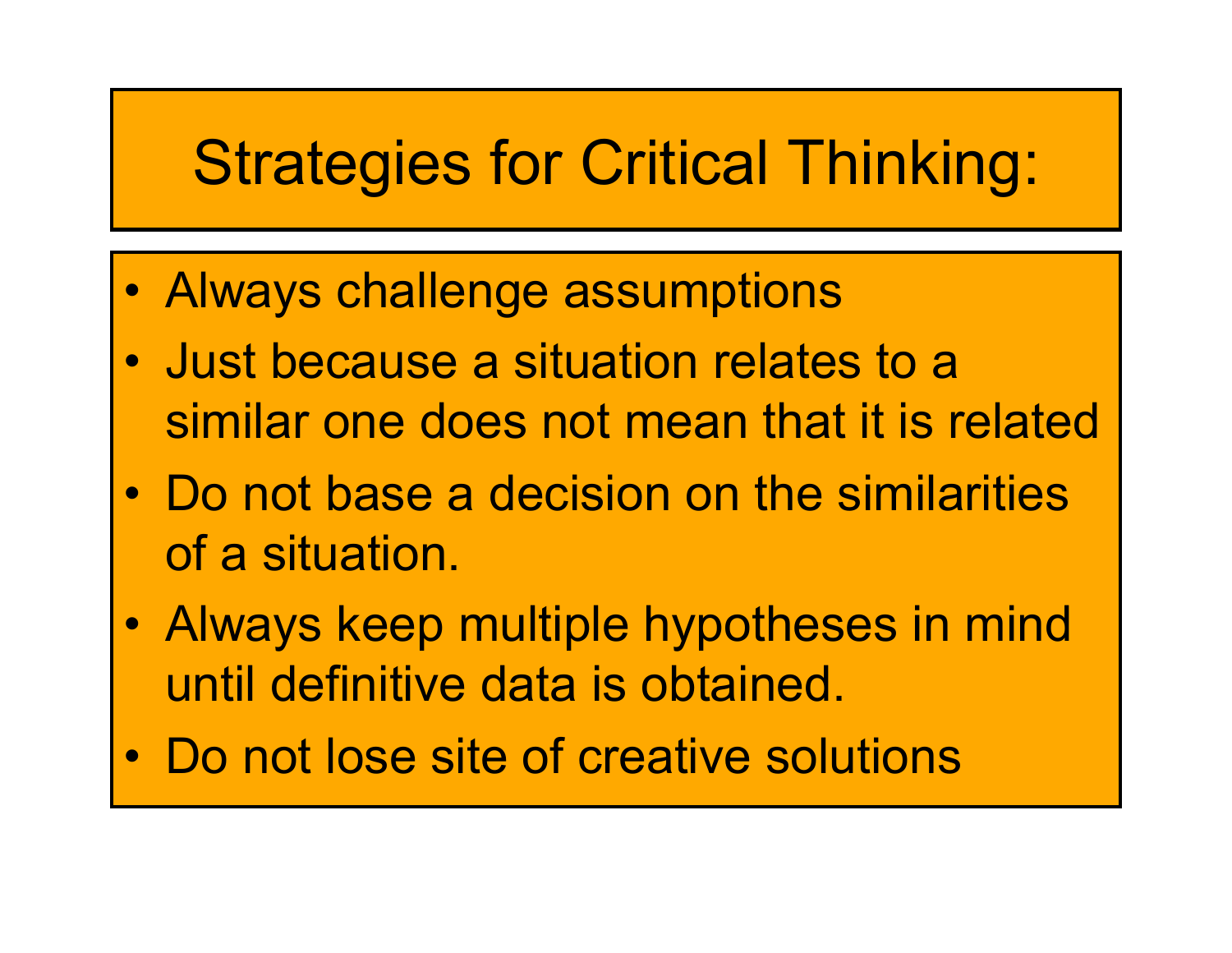# Strategies for Critical Thinking:

- Always challenge assumptions
- Just because a situation relates to a similar one does not mean that it is related
- Do not base a decision on the similarities of a situation.
- Always keep multiple hypotheses in mind until definitive data is obtained.
- Do not lose site of creative solutions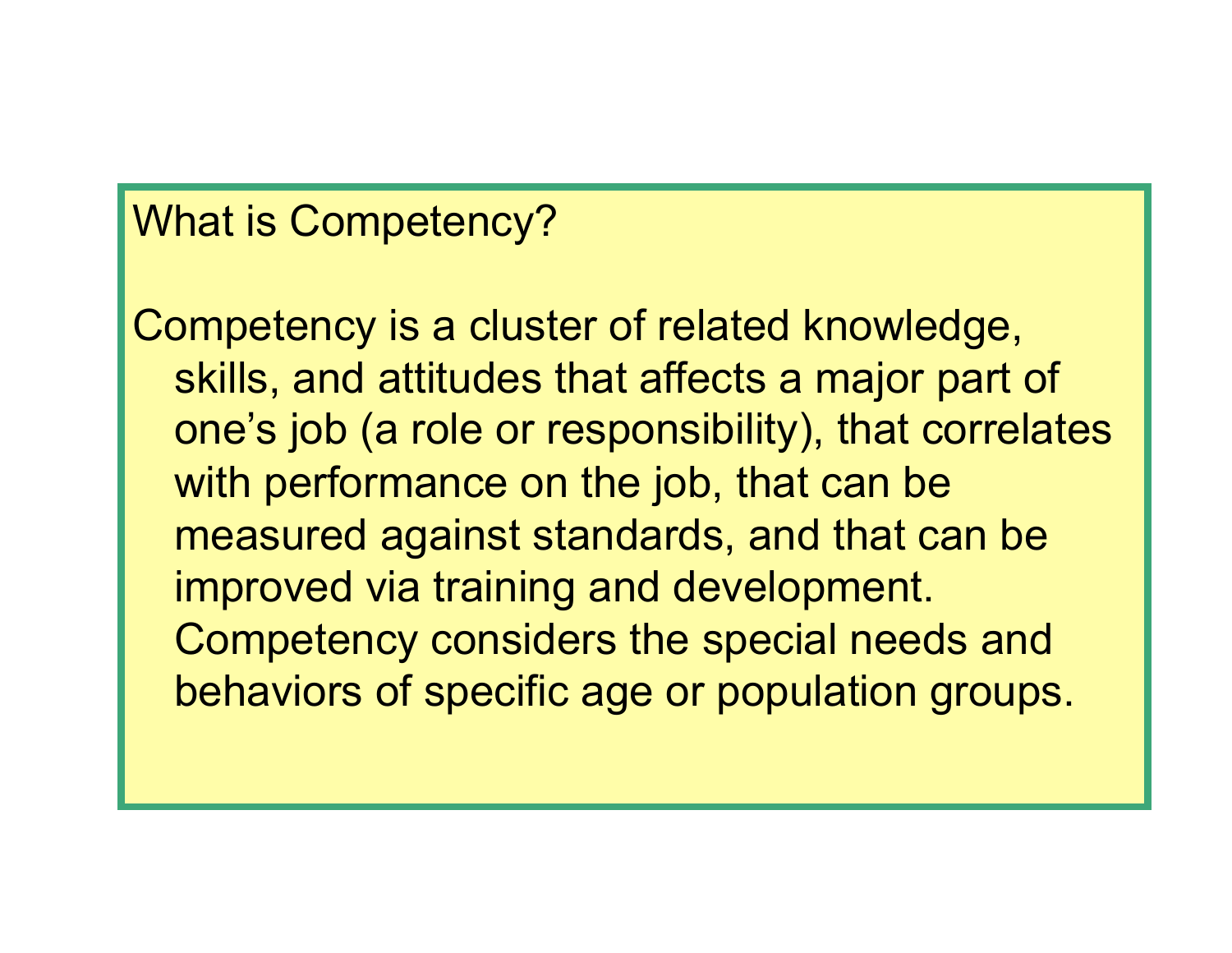### What is Competency?

Competency is a cluster of related knowledge, skills, and attitudes that affects a major part of one's job (a role or responsibility), that correlates with performance on the job, that can be measured against standards, and that can be improved via training and development. Competency considers the special needs and behaviors of specific age or population groups.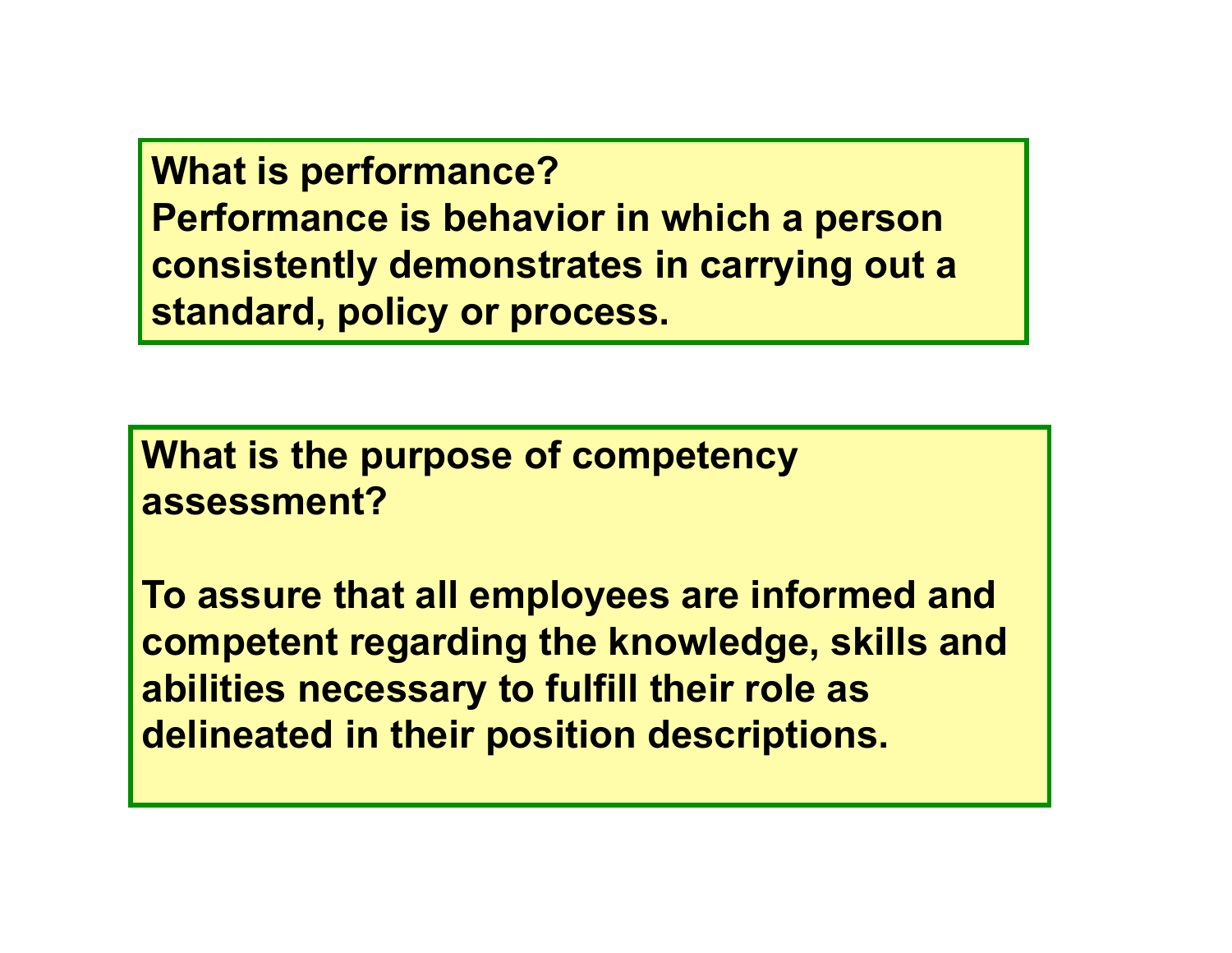**What is performance? Performance is behavior in which a person consistently demonstrates in carrying out a standard, policy or process.** 

**What is the purpose of competency assessment?** 

**To assure that all employees are informed and competent regarding the knowledge, skills and abilities necessary to fulfill their role as delineated in their position descriptions.**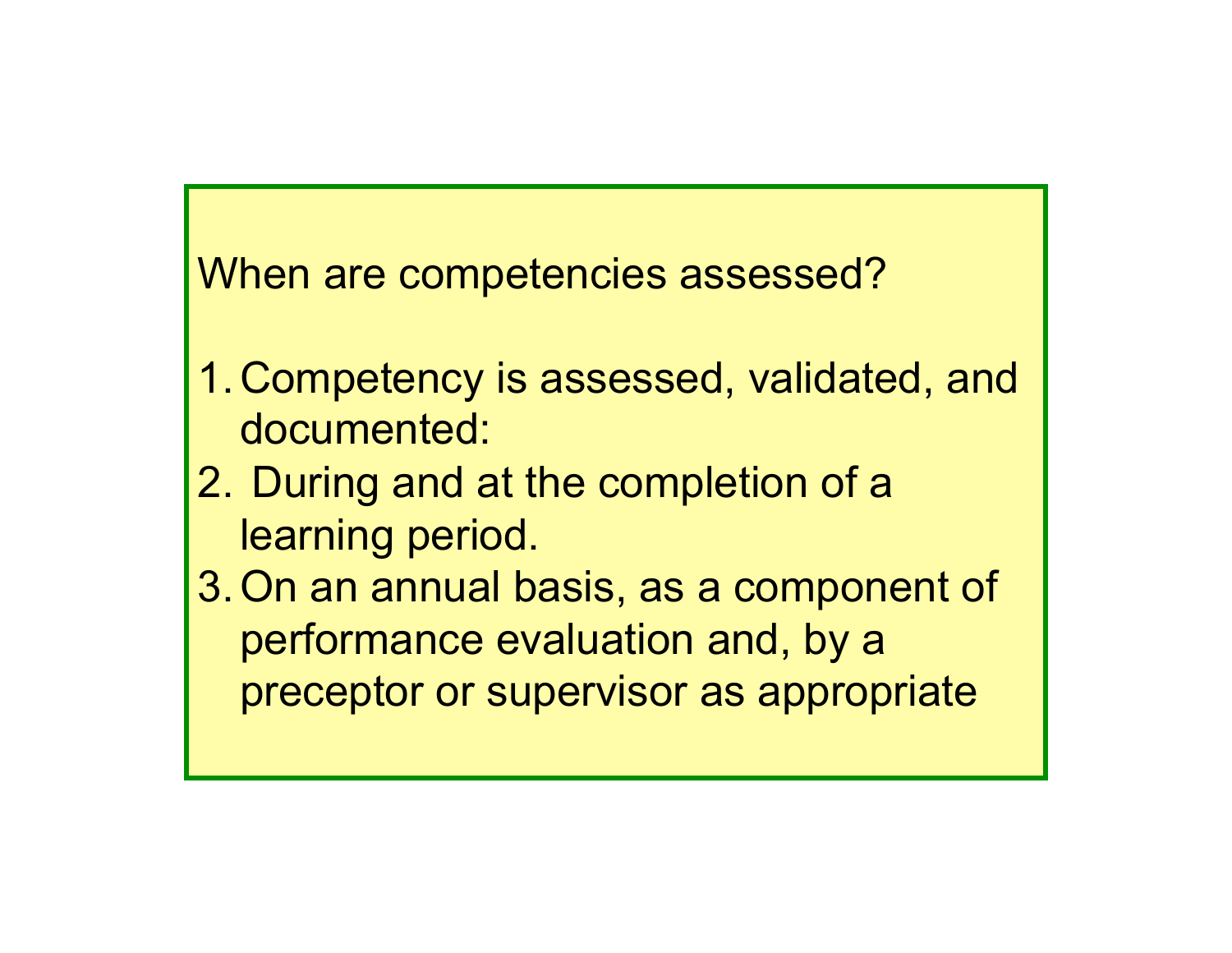When are competencies assessed?

- 1.Competency is assessed, validated, and documented:
- 2. During and at the completion of a learning period.
- 3.On an annual basis, as a component of performance evaluation and, by a preceptor or supervisor as appropriate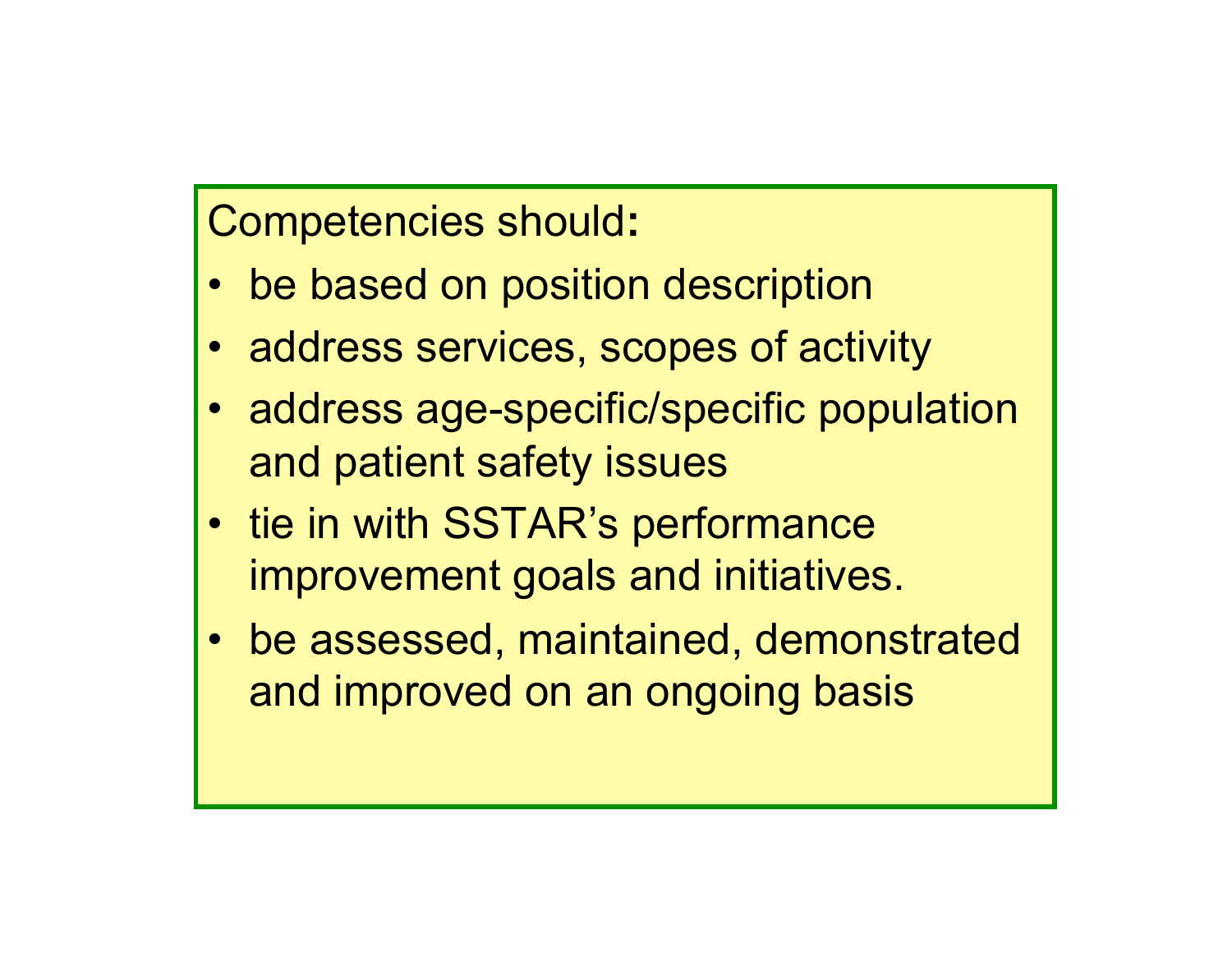Competencies should**:**

- be based on position description
- address services, scopes of activity
- address age-specific/specific population and patient safety issues
- tie in with SSTAR's performance improvement goals and initiatives.
- be assessed, maintained, demonstrated and improved on an ongoing basis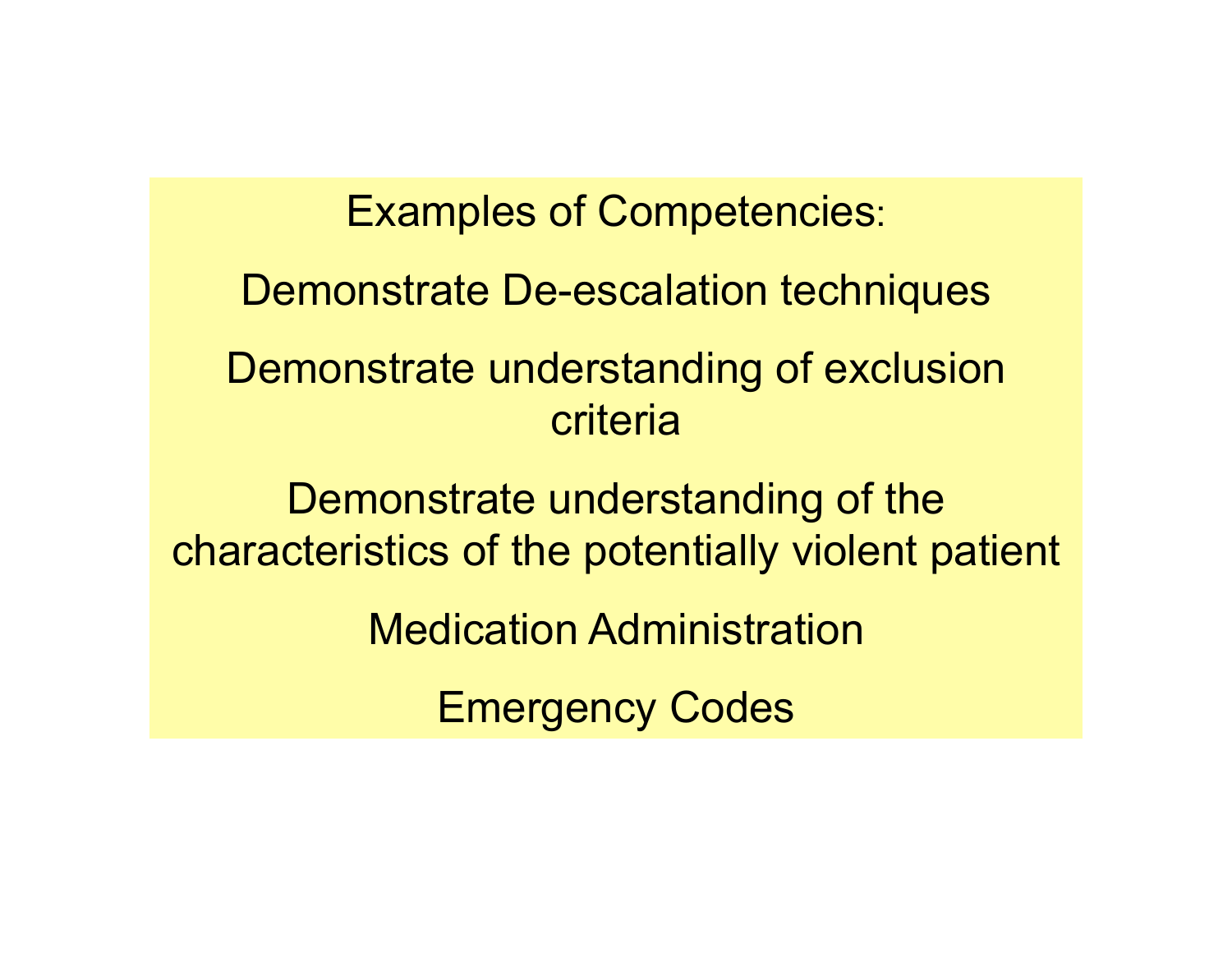Examples of Competencies: Demonstrate De-escalation techniques Demonstrate understanding of exclusion criteria Demonstrate understanding of the characteristics of the potentially violent patient Medication Administration Emergency Codes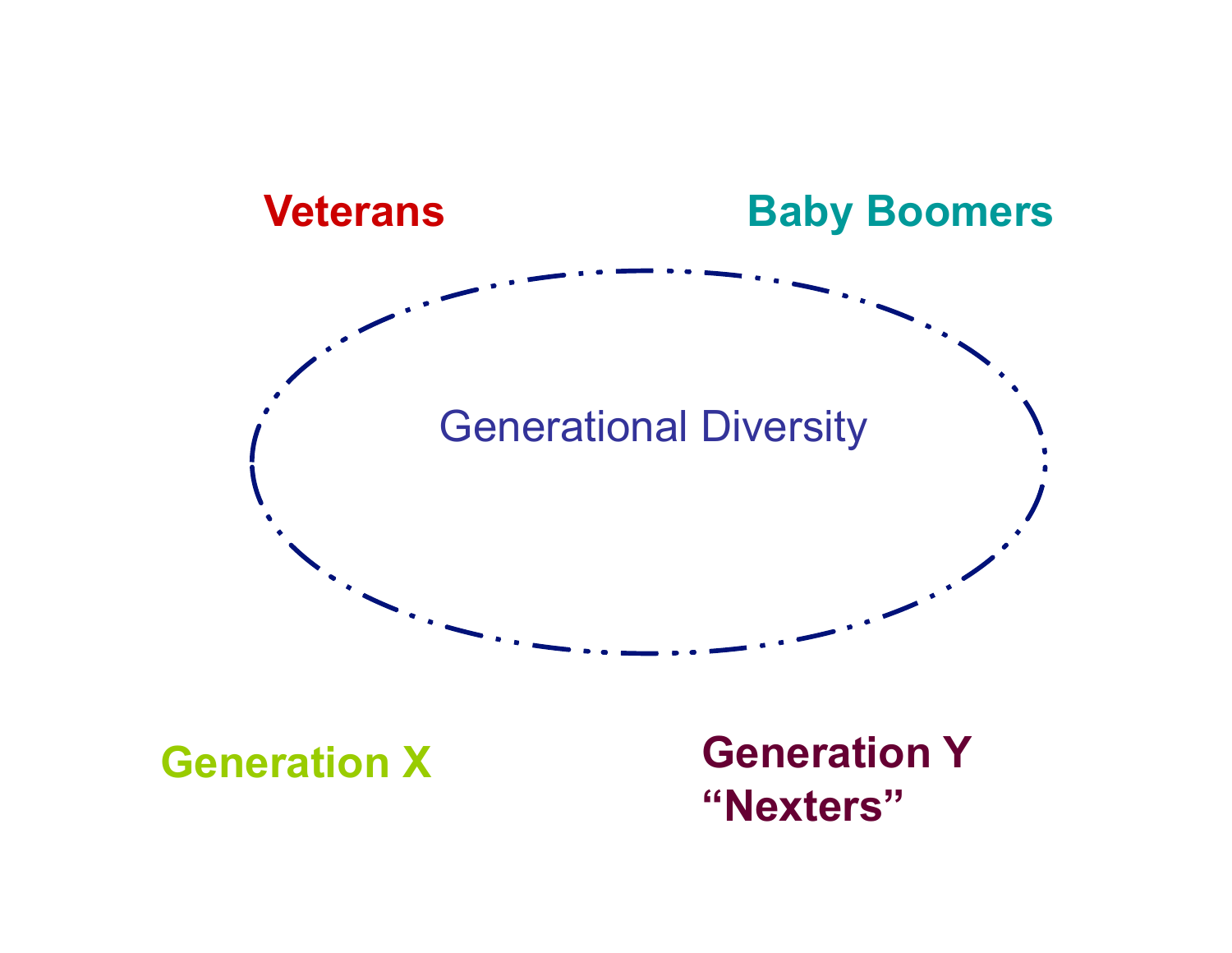

**Generation X Generation Y "Nexters"**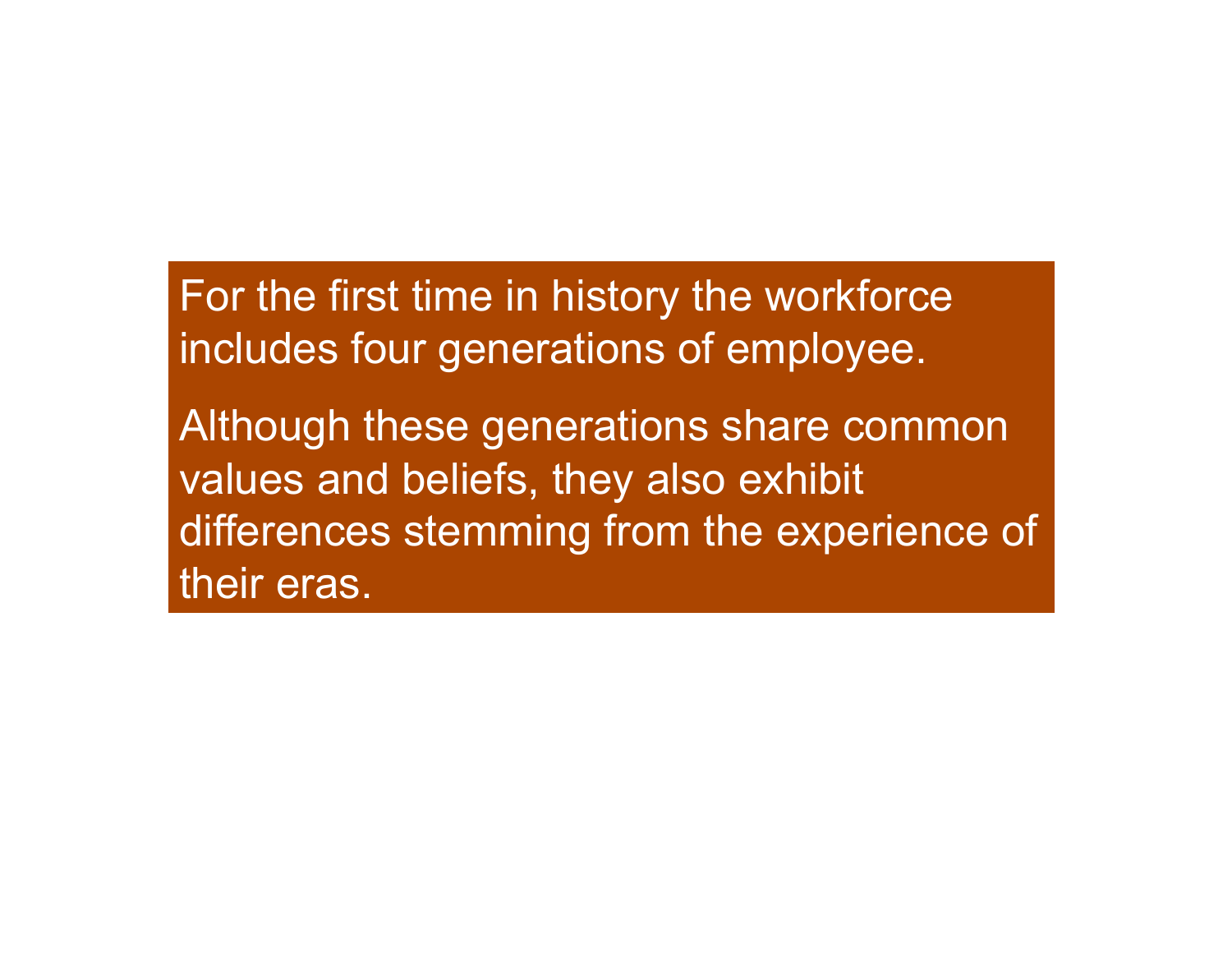For the first time in history the workforce includes four generations of employee.

Although these generations share common values and beliefs, they also exhibit differences stemming from the experience of their eras.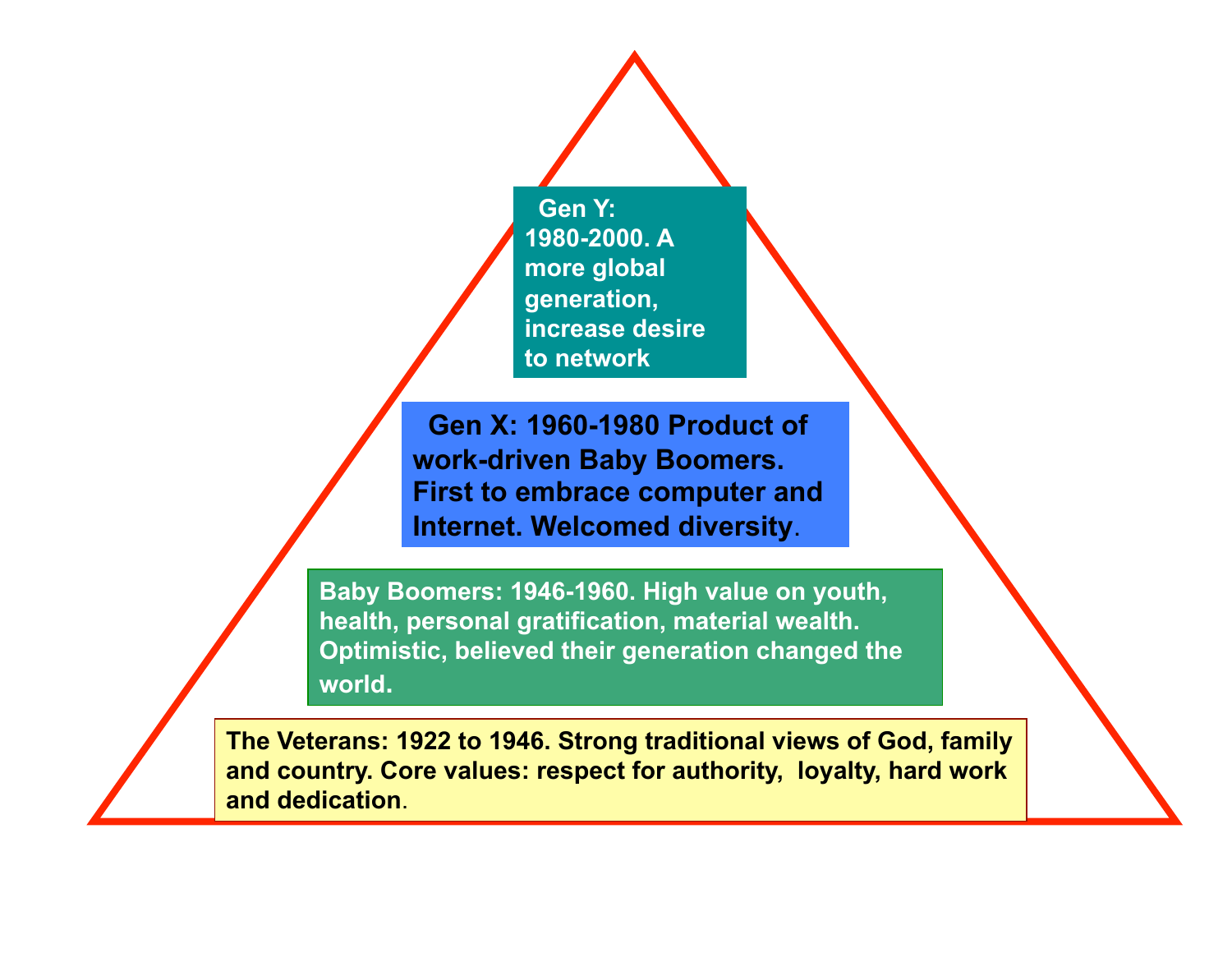**Gen Y: 1980-2000. A more global generation, increase desire to network** 

 **Gen X: 1960-1980 Product of work-driven Baby Boomers. First to embrace computer and Internet. Welcomed diversity**.

**Baby Boomers: 1946-1960. High value on youth, health, personal gratification, material wealth. Optimistic, believed their generation changed the world.** 

**The Veterans: 1922 to 1946. Strong traditional views of God, family and country. Core values: respect for authority, loyalty, hard work and dedication**.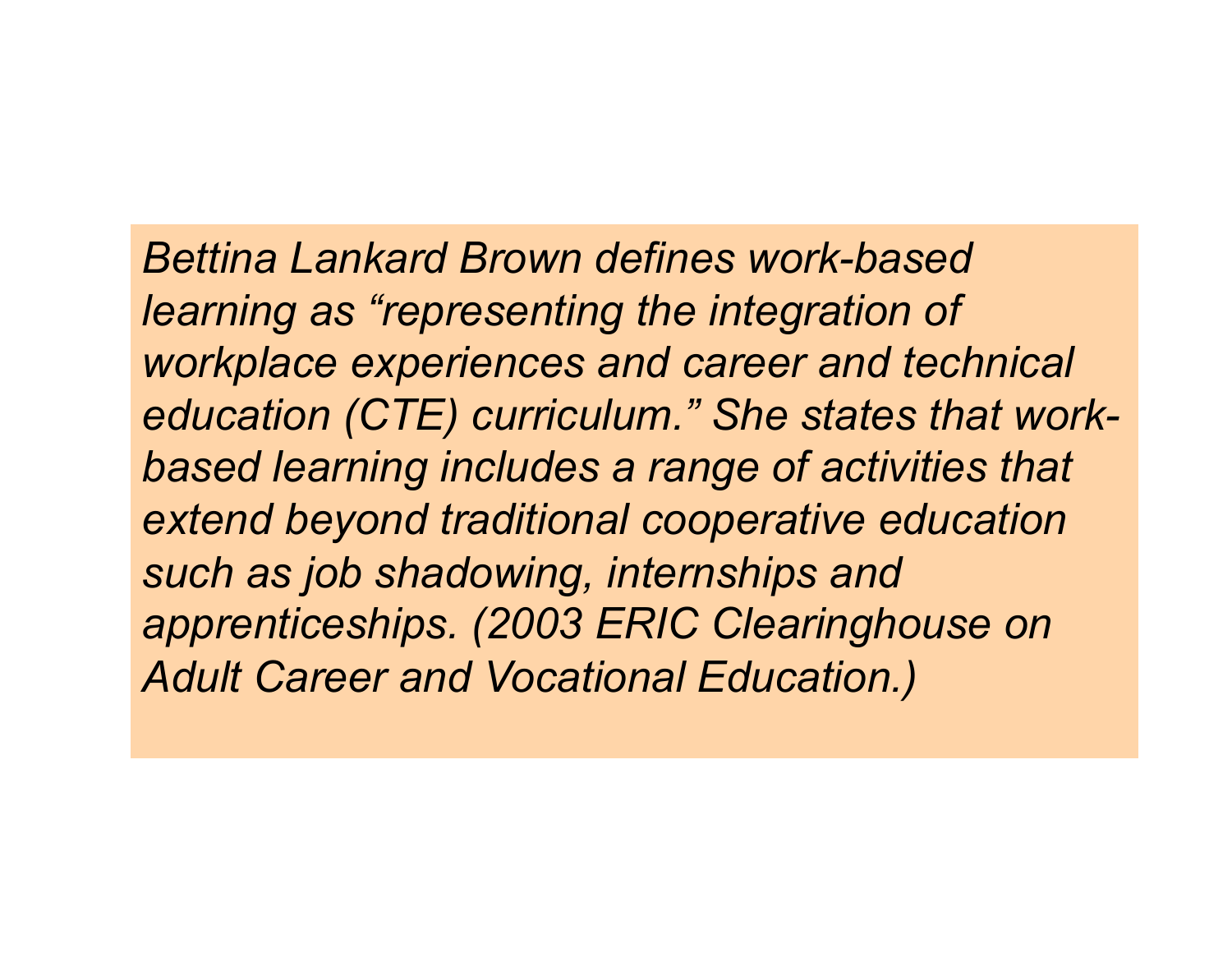*Bettina Lankard Brown defines work-based learning as "representing the integration of workplace experiences and career and technical education (CTE) curriculum." She states that workbased learning includes a range of activities that extend beyond traditional cooperative education such as job shadowing, internships and apprenticeships. (2003 ERIC Clearinghouse on Adult Career and Vocational Education.)*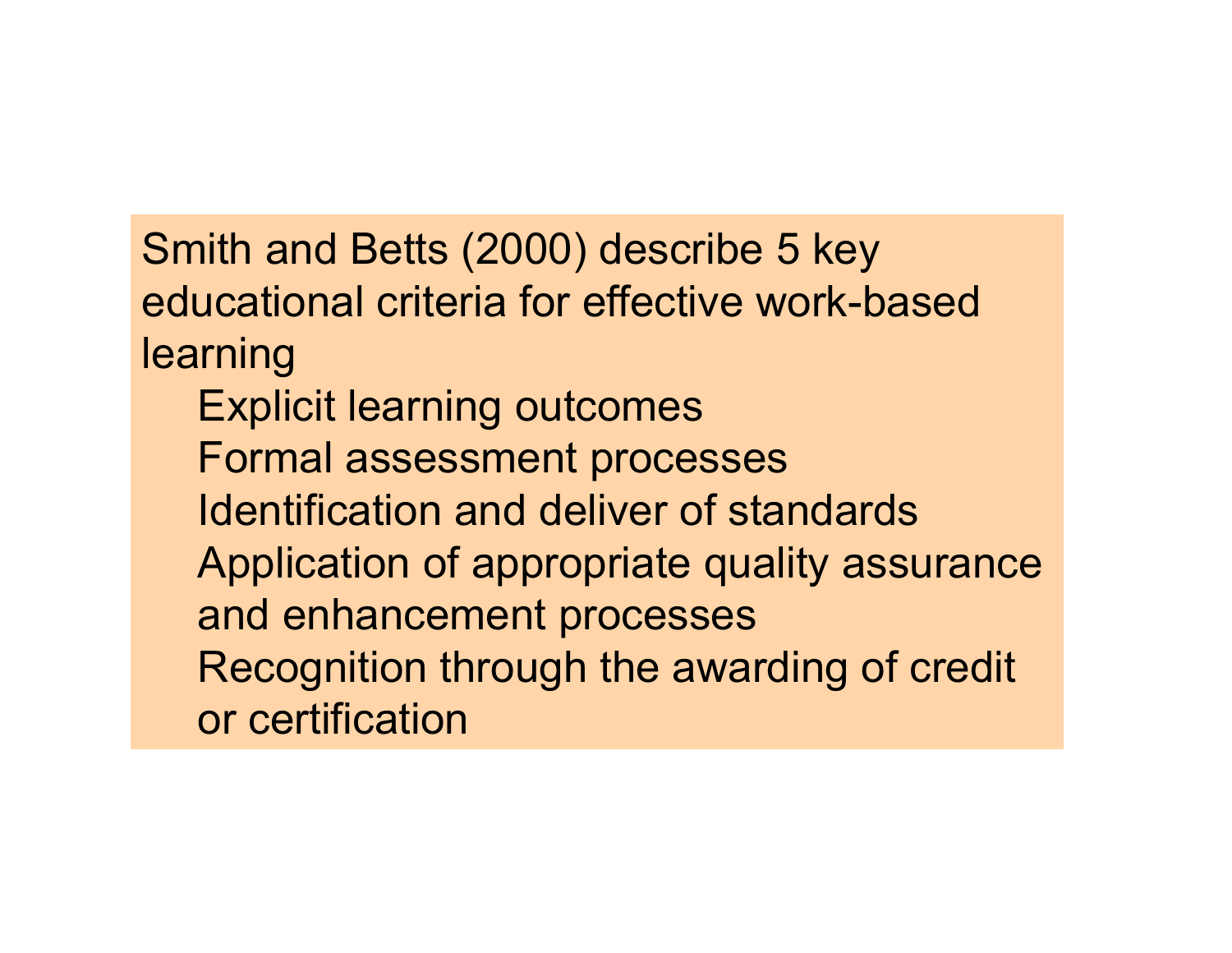Smith and Betts (2000) describe 5 key educational criteria for effective work-based learning Explicit learning outcomes Formal assessment processes Identification and deliver of standards Application of appropriate quality assurance and enhancement processes Recognition through the awarding of credit or certification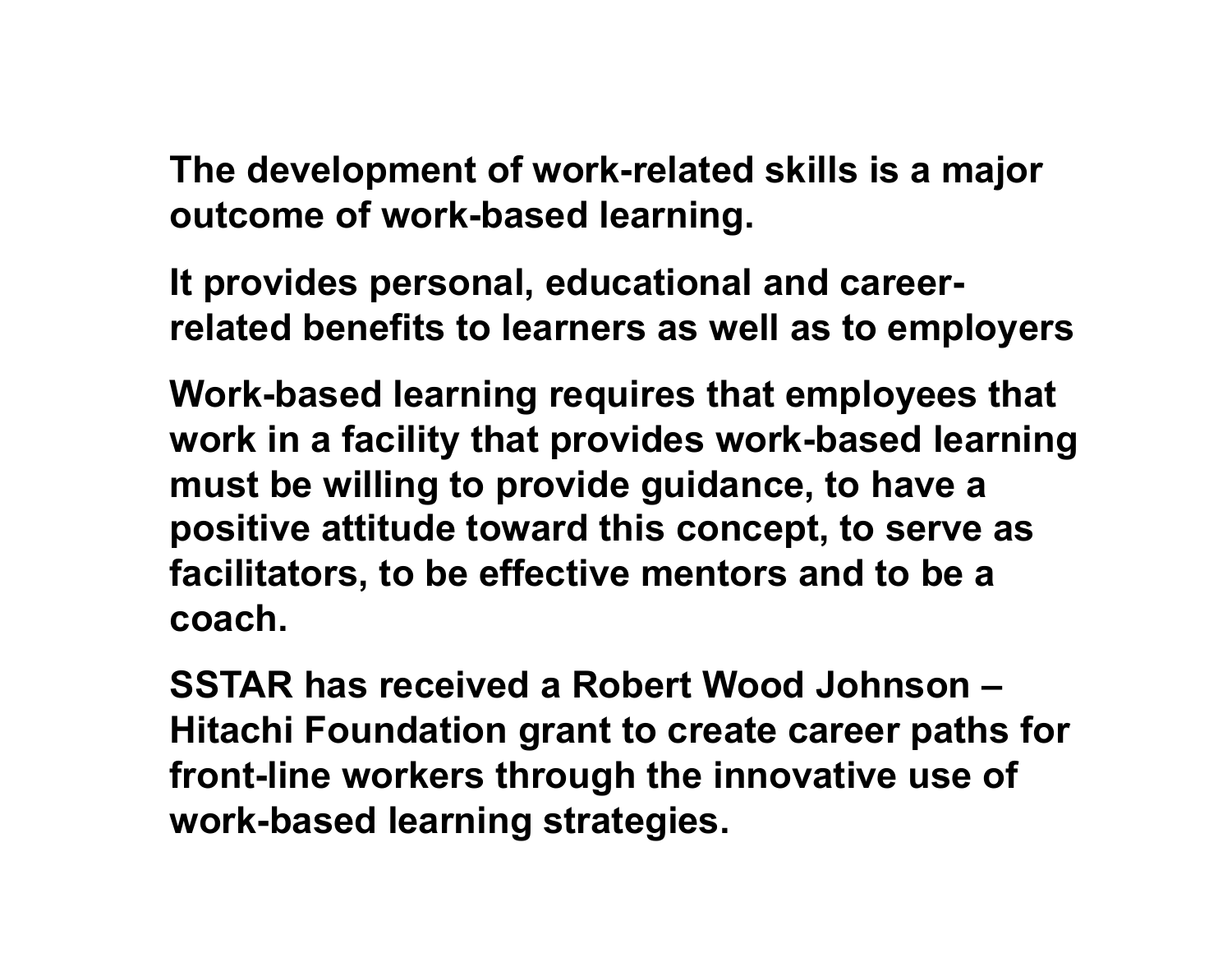**The development of work-related skills is a major outcome of work-based learning.** 

**It provides personal, educational and careerrelated benefits to learners as well as to employers** 

**Work-based learning requires that employees that work in a facility that provides work-based learning must be willing to provide guidance, to have a positive attitude toward this concept, to serve as facilitators, to be effective mentors and to be a coach.** 

**SSTAR has received a Robert Wood Johnson – Hitachi Foundation grant to create career paths for front-line workers through the innovative use of work-based learning strategies.**